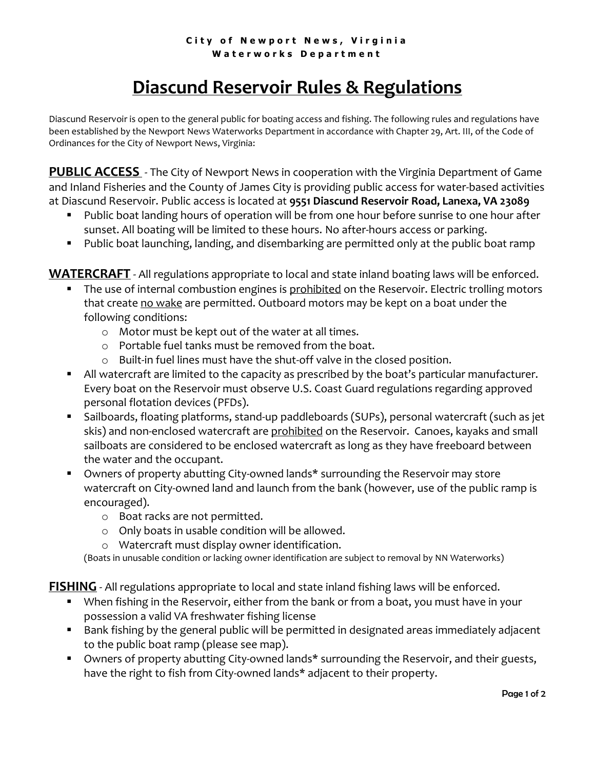## **City of Newport News, Virginia W a t e r w o r k s D e p a r t m e n t**

## **Diascund Reservoir Rules & Regulations**

Diascund Reservoir is open to the general public for boating access and fishing. The following rules and regulations have been established by the Newport News Waterworks Department in accordance with Chapter 29, Art. III, of the Code of Ordinances for the City of Newport News, Virginia:

**PUBLIC ACCESS** - The City of Newport News in cooperation with the Virginia Department of Game and Inland Fisheries and the County of James City is providing public access for water-based activities at Diascund Reservoir. Public access is located at **9551 Diascund Reservoir Road, Lanexa, VA 23089**

- Public boat landing hours of operation will be from one hour before sunrise to one hour after sunset. All boating will be limited to these hours. No after-hours access or parking.
- Public boat launching, landing, and disembarking are permitted only at the public boat ramp

**WATERCRAFT** - All regulations appropriate to local and state inland boating laws will be enforced.

- **The use of internal combustion engines is prohibited on the Reservoir. Electric trolling motors** that create no wake are permitted. Outboard motors may be kept on a boat under the following conditions:
	- o Motor must be kept out of the water at all times.
	- o Portable fuel tanks must be removed from the boat.
	- o Built-in fuel lines must have the shut-off valve in the closed position.
- All watercraft are limited to the capacity as prescribed by the boat's particular manufacturer. Every boat on the Reservoir must observe U.S. Coast Guard regulations regarding approved personal flotation devices (PFDs).
- Sailboards, floating platforms, stand-up paddleboards (SUPs), personal watercraft (such as jet skis) and non-enclosed watercraft are prohibited on the Reservoir. Canoes, kayaks and small sailboats are considered to be enclosed watercraft as long as they have freeboard between the water and the occupant.
- Owners of property abutting City-owned lands\* surrounding the Reservoir may store watercraft on City-owned land and launch from the bank (however, use of the public ramp is encouraged).
	- o Boat racks are not permitted.
	- o Only boats in usable condition will be allowed.
	- o Watercraft must display owner identification.

(Boats in unusable condition or lacking owner identification are subject to removal by NN Waterworks)

**FISHING** - All regulations appropriate to local and state inland fishing laws will be enforced.

- When fishing in the Reservoir, either from the bank or from a boat, you must have in your possession a valid VA freshwater fishing license
- Bank fishing by the general public will be permitted in designated areas immediately adjacent to the public boat ramp (please see map).
- **Diamage 1** Owners of property abutting City-owned lands\* surrounding the Reservoir, and their guests, have the right to fish from City-owned lands\* adjacent to their property.